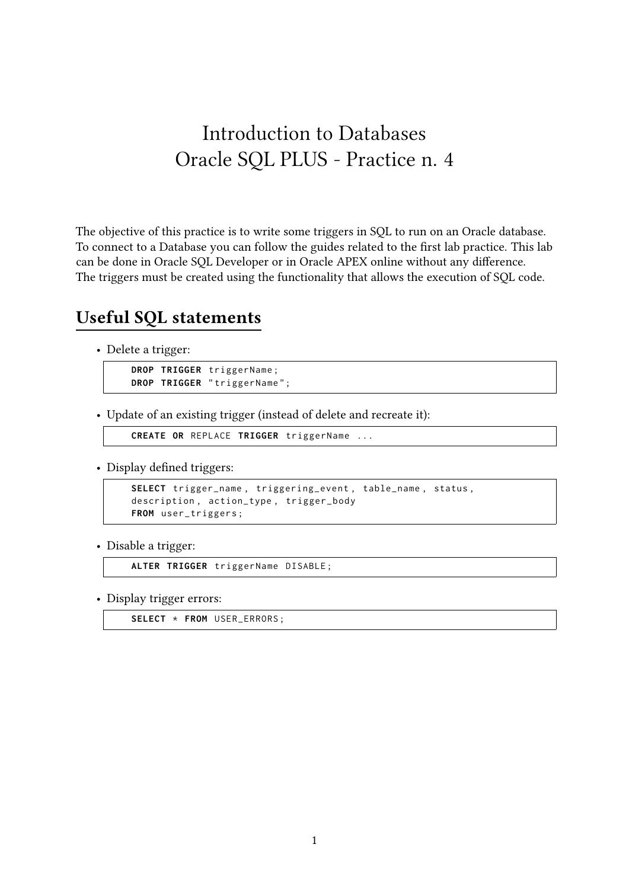# Introduction to Databases Oracle SQL PLUS - Practice n. 4

The objective of this practice is to write some triggers in SQL to run on an Oracle database. To connect to a Database you can follow the guides related to the first lab practice. This lab can be done in Oracle SQL Developer or in Oracle APEX online without any difference. The triggers must be created using the functionality that allows the execution of SQL code.

### **Useful SQL statements**

• Delete a trigger:

```
DROP TRIGGER triggerName ;
DROP TRIGGER " triggerName " ;
```
• Update of an existing trigger (instead of delete and recreate it):

```
CREATE OR REPLACE TRIGGER triggerName ...
```
• Display defined triggers:

```
SELECT trigger_name , triggering_event , table_name , status ,
description , action_type , trigger_body
FROM user_triggers ;
```
• Disable a trigger:

**ALTER TRIGGER** triggerName DISABLE ;

• Display trigger errors:

**SELECT** \* **FROM** USER\_ERRORS ;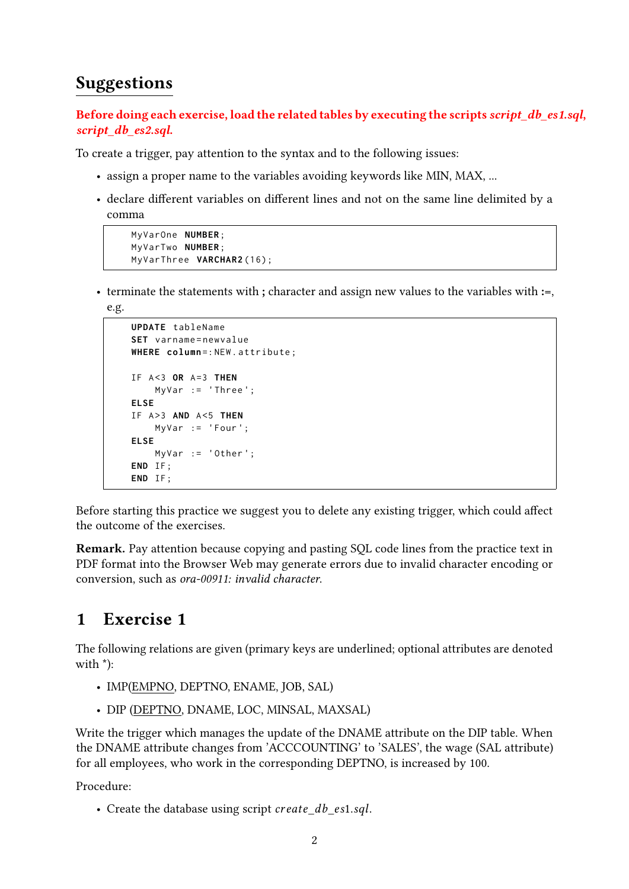# **Suggestions**

**Before doing each exercise, load the related tables by executing the scripts** *script\_db\_es1.sql***,** *script\_db\_es2.sql***.**

To create a trigger, pay attention to the syntax and to the following issues:

- assign a proper name to the variables avoiding keywords like MIN, MAX, ...
- declare different variables on different lines and not on the same line delimited by a comma

```
MyVarOne NUMBER ;
MyVarTwo NUMBER ;
MyVarThree VARCHAR2 (16);
```
• terminate the statements with **;** character and assign new values to the variables with **:=**,

e.g.

```
UPDATE tableName
SET varname = newvalue
WHERE column=: NEW. attribute;
IF A <3 OR A =3 THEN
    MyVar := 'Three ';
ELSE
IF A >3 AND A <5 THEN
    MyVar := 'Four ';
ELSE
    MyVar := 'Other ';
END IF ;
END IF ;
```
Before starting this practice we suggest you to delete any existing trigger, which could affect the outcome of the exercises.

**Remark.** Pay attention because copying and pasting SQL code lines from the practice text in PDF format into the Browser Web may generate errors due to invalid character encoding or conversion, such as *ora-00911: invalid character*.

## **1 Exercise 1**

The following relations are given (primary keys are underlined; optional attributes are denoted with \*):

- IMP(EMPNO, DEPTNO, ENAME, JOB, SAL)
- DIP (DEPTNO, DNAME, LOC, MINSAL, MAXSAL)

Write the trigger which manages the update of the DNAME attribute on the DIP table. When the DNAME attribute changes from 'ACCCOUNTING' to 'SALES', the wage (SAL attribute) for all employees, who work in the corresponding DEPTNO, is increased by 100.

Procedure:

• Create the database using script create db es1.sql.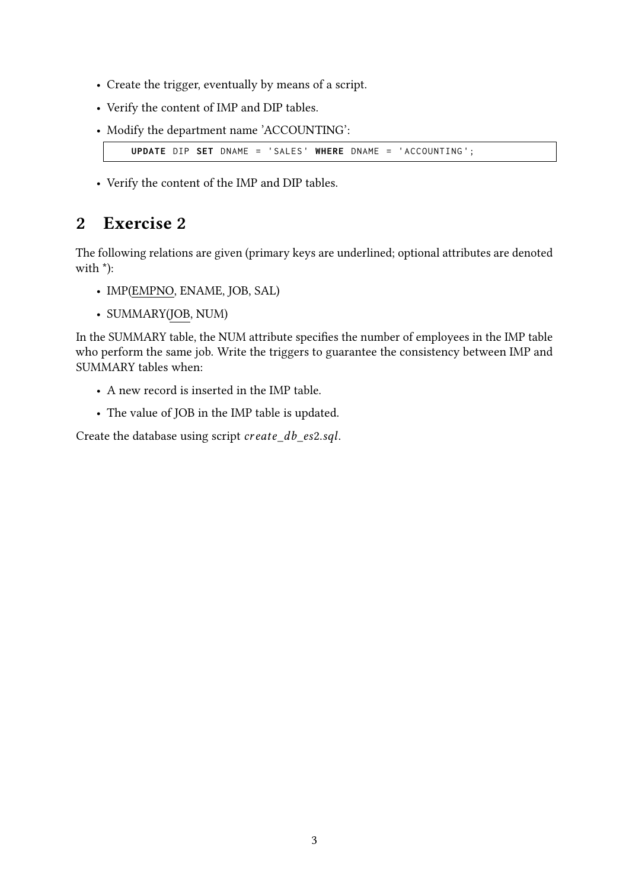- Create the trigger, eventually by means of a script.
- Verify the content of IMP and DIP tables.
- Modify the department name 'ACCOUNTING':

```
UPDATE DIP SET DNAME = 'SALES ' WHERE DNAME = 'ACCOUNTING ';
```
• Verify the content of the IMP and DIP tables.

## **2 Exercise 2**

The following relations are given (primary keys are underlined; optional attributes are denoted with \*):

- IMP(EMPNO, ENAME, JOB, SAL)
- SUMMARY(JOB, NUM)

In the SUMMARY table, the NUM attribute specifies the number of employees in the IMP table who perform the same job. Write the triggers to guarantee the consistency between IMP and SUMMARY tables when:

- A new record is inserted in the IMP table.
- The value of JOB in the IMP table is updated.

Create the database using script create\_db\_es2.sql.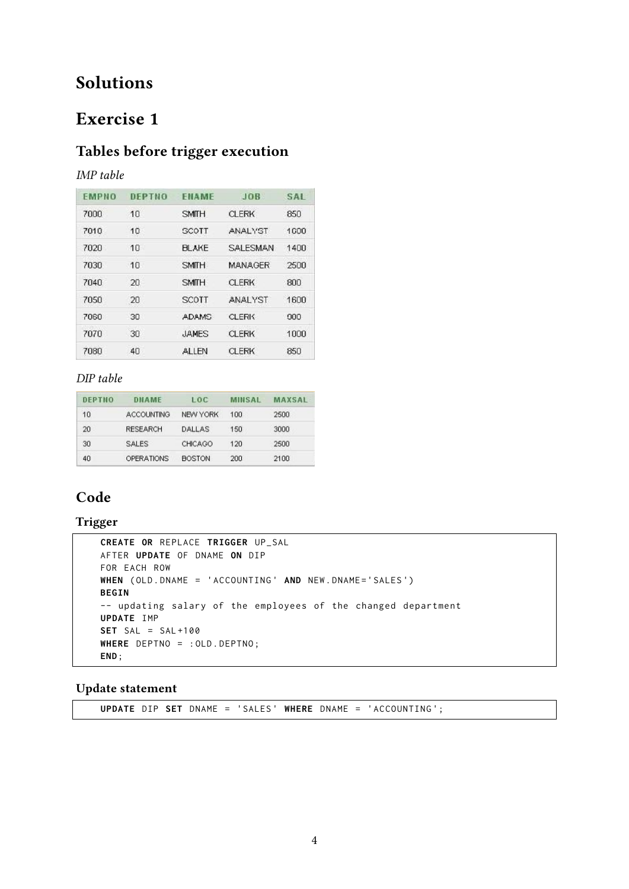## **Solutions**

## **Exercise 1**

### **Tables before trigger execution**

#### *IMP table*

| <b>EMPNO</b> | DEPTNO    | ENAME        | <b>JOR</b>      | <b>SAL</b> |
|--------------|-----------|--------------|-----------------|------------|
| 7000         | 10        | <b>SMITH</b> | <b>CLERK</b>    | 850        |
| 7010         | 10        | <b>SCOTT</b> | <b>ANALYST</b>  | 1000       |
| 7020         | 10        | <b>BLAKE</b> | <b>SALESMAN</b> | 1400       |
| 7030         | $10^{-1}$ | <b>SMITH</b> | <b>MANAGER</b>  | 2500       |
| 7040         | 20        | <b>SMITH</b> | <b>CLERK</b>    | 800        |
| 7050         | 20        | <b>SCOTT</b> | <b>ANALYST</b>  | 1600       |
| 7060         | 30        | <b>ADAMS</b> | <b>CLERK</b>    | 900        |
| 7070         | 30        | <b>JAMES</b> | CLERK           | 1000       |
| 7080         | 40        | ALLEN        | <b>CLERK</b>    | 850        |

#### *DIP table*

| DEPTNO | DNAME             | LOC             | MINSAL | <b>MAXSAL</b> |
|--------|-------------------|-----------------|--------|---------------|
| 10     | <b>ACCOUNTING</b> | <b>NEW YORK</b> | 100    | 2500          |
| 20     | <b>RESEARCH</b>   | <b>DALLAS</b>   | 150    | 3000          |
| 30     | <b>SALES</b>      | <b>CHICAGO</b>  | 120    | 2500          |
| 40     | OPERATIONS        | <b>BOSTON</b>   | 200    | 2100          |

### **Code**

#### **Trigger**

```
CREATE OR REPLACE TRIGGER UP_SAL
AFTER UPDATE OF DNAME ON DIP
FOR EACH ROW
WHEN ( OLD . DNAME = 'ACCOUNTING ' AND NEW . DNAME ='SALES ')
BEGIN
-- updating salary of the employees of the changed department
UPDATE IMP
SET SAL = SAL +100
WHERE DEPTNO = : OLD . DEPTNO ;
END ;
```
#### **Update statement**

**UPDATE** DIP **SET** DNAME = 'SALES ' **WHERE** DNAME = 'ACCOUNTING ';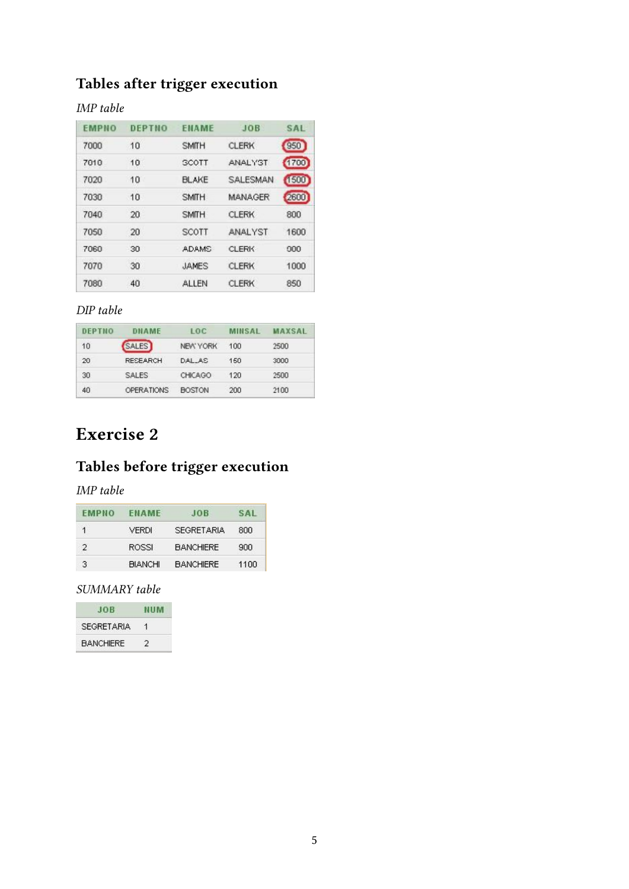# **Tables after trigger execution**

### *IMP table*

| <b>EMPNO</b> | DEPTNO    | <b>ENAME</b> | JOB             | SAL  |
|--------------|-----------|--------------|-----------------|------|
| 7000         | 10        | <b>SMITH</b> | <b>CLERK</b>    | 950  |
| 7010         | 10        | SCOTT        | ANALYST         | 1700 |
| 7020         | 10        | <b>BLAKE</b> | <b>SALESMAN</b> | 1500 |
| 7030         | $10^{-1}$ | <b>SMITH</b> | <b>MANAGER</b>  | 2600 |
| 7040         | 20        | <b>SMITH</b> | <b>CLERK</b>    | 800  |
| 7050         | 20        | <b>SCOTT</b> | <b>ANALYST</b>  | 1600 |
| 7060         | 30        | <b>ADAMS</b> | <b>CLERK</b>    | 900  |
| 7070         | 30        | <b>JAMES</b> | <b>CLERK</b>    | 1000 |
| 7080         | 40        | <b>ALLEN</b> | CLERK           | 850  |

### *DIP table*

| DEPTNO | DNAME             | L <sub>0</sub> C | <b>MINSAL</b> | <b>MAXSAL</b> |
|--------|-------------------|------------------|---------------|---------------|
| 10     | <b>SALES</b>      | <b>NEW YORK</b>  | 100           | 2500          |
| 20     | <b>RESEARCH</b>   | DAL AS           | 150           | 3000          |
| 30     | <b>SALES</b>      | CHICAGO          | 120           | 2500          |
| 40     | <b>OPERATIONS</b> | <b>BOSTON</b>    | 200           | 2100          |

## **Exercise 2**

# **Tables before trigger execution**

### *IMP table*

| <b>EMPNO</b>  | <b>FNAME</b>   | JOB              |      |
|---------------|----------------|------------------|------|
| 1             | <b>VERDI</b>   | SEGRETARIA       | 800  |
| $\mathcal{P}$ | ROSSI          | <b>BANCHIERE</b> | 900  |
| 31            | <b>BIANCHI</b> | <b>BANCHIERE</b> | 1100 |

### *SUMMARY table*

|                   | 88 B M |
|-------------------|--------|
| <b>SEGRETARIA</b> |        |
| <b>BANCHIERE</b>  |        |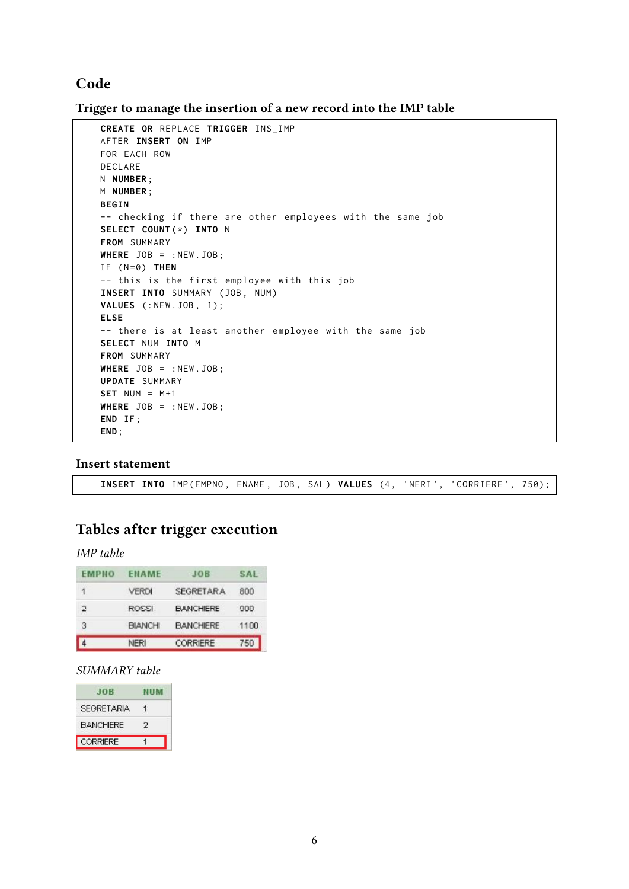### **Code**

**Trigger to manage the insertion of a new record into the IMP table**

```
CREATE OR REPLACE TRIGGER INS_IMP
AFTER INSERT ON IMP
FOR EACH ROW
DECLARE
N NUMBER ;
M NUMBER ;
BEGIN
-- checking if there are other employees with the same job
SELECT COUNT (*) INTO N
FROM SUMMARY
WHERE JOB = : NEW . JOB ;
IF ( N =0) THEN
-- this is the first employee with this job
INSERT INTO SUMMARY (JOB, NUM)
VALUES (: NEW . JOB , 1);
ELSE
-- there is at least another employee with the same job
SELECT NUM INTO M
FROM SUMMARY
WHERE JOB = : NEW . JOB ;
UPDATE SUMMARY
SET NUM = M+1WHERE JOB = : NEW . JOB ;
END IF ;
END ;
```
#### **Insert statement**

INSERT INTO IMP (EMPNO, ENAME, JOB, SAL) VALUES (4, 'NERI', 'CORRIERE', 750);

### **Tables after trigger execution**

*IMP table*

| EMPNO     | <b>ENAME</b>   | JOR              | SAI  |
|-----------|----------------|------------------|------|
| 1         | <b>VERDI</b>   | <b>SEGRETARA</b> | 800  |
| 2         | ROSSI          | <b>BANCHIERE</b> | 900  |
| з         | <b>BIANCHI</b> | <b>BANCHIERE</b> | 1100 |
| $\vert$ 4 | <b>NERI</b>    | CORRIERE         | 750  |

#### *SUMMARY table*

| 40 B              | 91 H.M |
|-------------------|--------|
| <b>SEGRETARIA</b> |        |
| <b>BANCHIERE</b>  |        |
| CORRIERE          |        |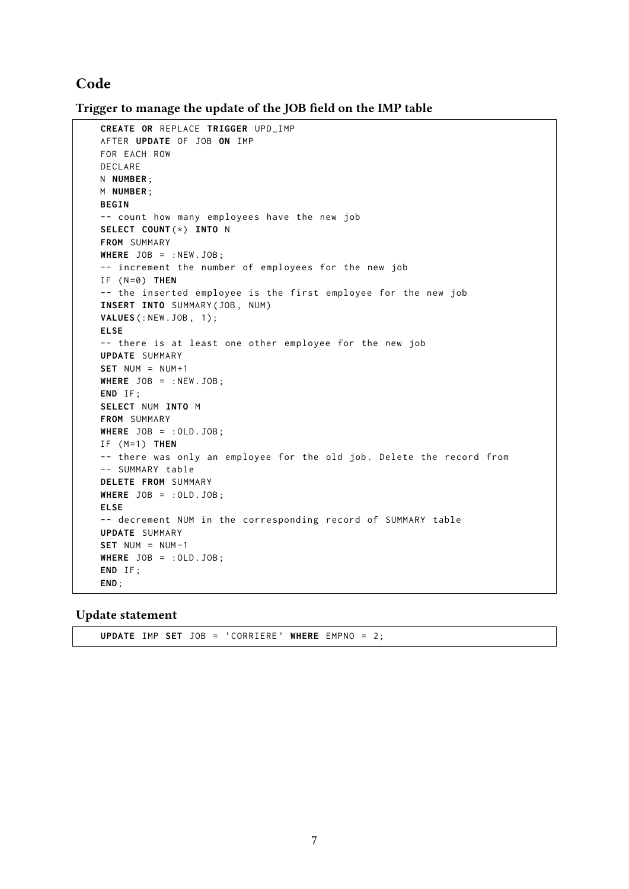#### **Code**

Trigger to manage the update of the JOB field on the IMP table

```
CREATE OR REPLACE TRIGGER UPD_IMP
AFTER UPDATE OF JOB ON IMP
FOR EACH ROW
DECLARE
N NUMBER ;
M NUMBER ;
BEGIN
-- count how many employees have the new job
SELECT COUNT (*) INTO N
FROM SUMMARY
WHERE JOB = : NEW . JOB ;
-- increment the number of employees for the new job
IF ( N =0) THEN
-- the inserted employee is the first employee for the new job
INSERT INTO SUMMARY ( JOB , NUM )
VALUES (: NEW . JOB , 1);
ELSE
-- there is at least one other employee for the new job
UPDATE SUMMARY
SET NUM = NUM +1WHERE JOB = : NEW . JOB ;
END IF ;
SELECT NUM INTO M
FROM SUMMARY
WHERE JOB = : OLD . JOB ;
IF ( M =1) THEN
-- there was only an employee for the old job. Delete the record from
-- SUMMARY table
DELETE FROM SUMMARY
WHERE JOB = : OLD . JOB ;
ELSE
-- decrement NUM in the corresponding record of SUMMARY table
UPDATE SUMMARY
SET NUM = NUM -1WHERE JOB = : OLD . JOB ;
END IF ;
END ;
```
**Update statement**

**UPDATE** IMP **SET** JOB = 'CORRIERE ' **WHERE** EMPNO = 2;